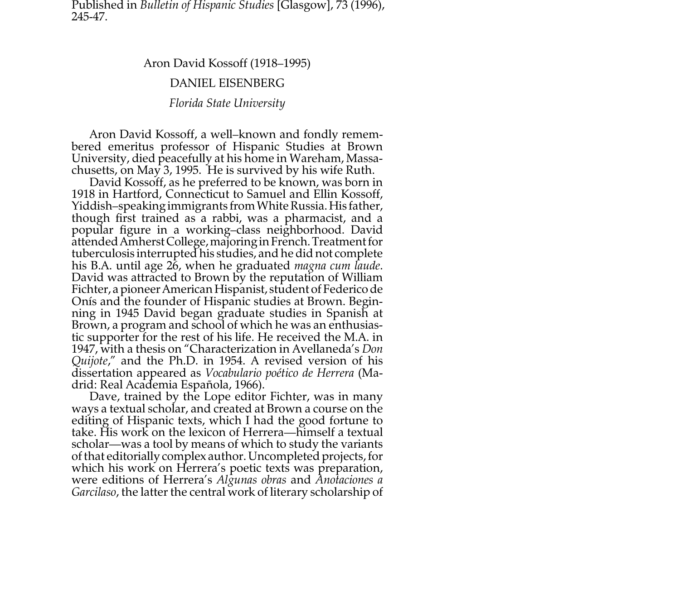Published in *Bulletin of Hispanic Studies* [Glasgow], 73 (1996), 245-47.

Aron David Kossoff (1918–1995)

## DANIEL EISENBERG

## *Florida State University*

Aron David Kossoff, a well–known and fondly remem- bered emeritus professor of Hispanic Studies at Brown University, died peacefully at his home in Wareham, Massachusetts, on May 3, 1995. He is survived by his wife Ruth. David Kossoff, as he preferred to be known, was born in

1918 in Hartford, Connecticut to Samuel and Ellin Kossoff, Yiddish–speaking immigrants from White Russia. His father, though first trained as a rabbi, was a pharmacist, and a popular figure in a working–class neighborhood. David<br>attended Amherst College, majoring in French. Treatment for tuberculosis interrupted his studies, and he did not complete<br>his B.A. until age 26, when he graduated *magna cum laude*.<br>David was attracted to Brown by the reputation of William<br>Fichter, a pioneer American Hispanist, stu Onís and the founder of Hispanic studies at Brown. Begin- ning in 1945 David began graduate studies in Spanish at Brown, a program and school of which he was an enthusiastic supporter for the rest of his life. He received the M.A. in 1947, with a thesis on "Characterization in Avellaneda's *Don Quijote*," and the Ph.D. in 1954. A revised version of his dissertation appeared as *Vocabulario poético de Herrera* (Ma-

drid: Real Academia Española, 1966). Dave, trained by the Lope editor Fichter, was in many ways a textual scholar, and created at Brown a course on the editing of Hispanic texts, which I had the good fortune to take. His work on the lexicon of Herrera—himself a textual scholar—was a tool by means of which to study the variants of that editorially complex author. Uncompleted projects, for which his work on Herrera's poetic texts was preparation, were editions of Herrera's *Algunas obras* and *Anotaciones a Garcilaso*, the latter the central work of literary scholarship of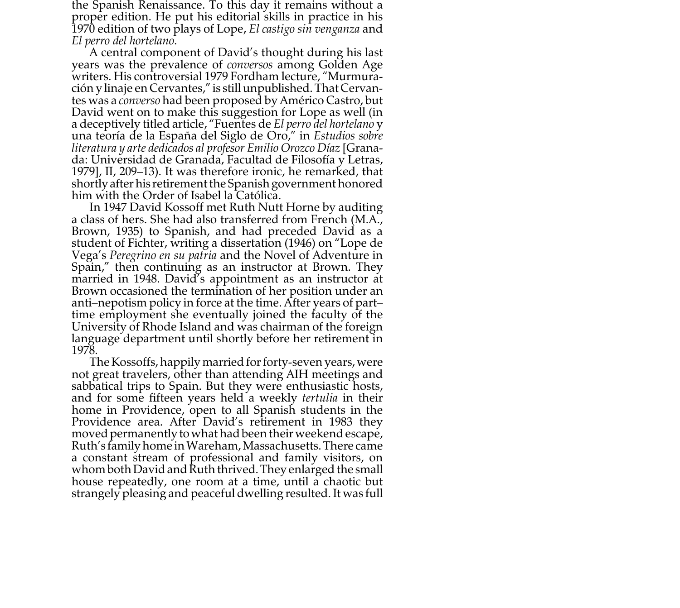the Spanish Renaissance. To this day it remains without a proper edition. He put his editorial skills in practice in his 1970 edition of two plays of Lope, *El castigo sin venganza* and

*El perro del hortelano*. A central component of David's thought during his last years was the prevalence of *conversos* among Golden Age writers. His controversial 1979 Fordham lecture, "Murmuración y linaje en Cervantes," is still unpublished. That Cervantes was a *converso* had been proposed by Américo Castro, but David went on to make this suggestion for Lope as well (in a deceptively titled article, "Fuentes de *El perro del hortelano*<sup>y</sup> una teoría de la España del Siglo de Oro," in *Estudios sobre literatura y arte dedicados al profesor Emilio Orozco Díaz* [Granada: Universidad de Granada, Facultad de Filosofía y Letras, 1979], II, 209–13). It was therefore ironic, he remarked, that shortly after his retirement the Spanish government honored him with the Order of Isabel la Católica.

In 1947 David Kossoff met Ruth Nutt Horne by auditing a class of hers. She had also transferred from French (M.A., Brown, 1935) to Spanish, and had preceded David as a student of Fichter, writing a dissertation (1946) on "Lope de Vega's *Peregrino en su patria* and the Novel of Adventure in Spain," then continuing as an instructor at Brown. They married in 1948. David's appointment as an instructor at Brown occasioned the termination of her position under an anti–nepotism policy in force at the time. After years of part– time employment she eventually joined the faculty of the University of Rhode Island and was chairman of the foreign language department until shortly before her retirement in 1978.

The Kossoffs, happily married for forty-seven years, were not great travelers, other than attending AIH meetings and sabbatical trips to Spain. But they were enthusiastic hosts, and for some fifteen years held a weekly *tertulia* in their home in Providence, open to all Spanish students in the Providence area. After David's retirement in 1983 they moved permanently to what had been their weekend escape, Ruth's family home in Wareham, Massachusetts. There came a constant stream of professional and family visitors, on whom both David and Ruth thrived. They enlarged the small house repeatedly, one room at a time, until a chaotic but strangely pleasing and peaceful dwelling resulted. It was full